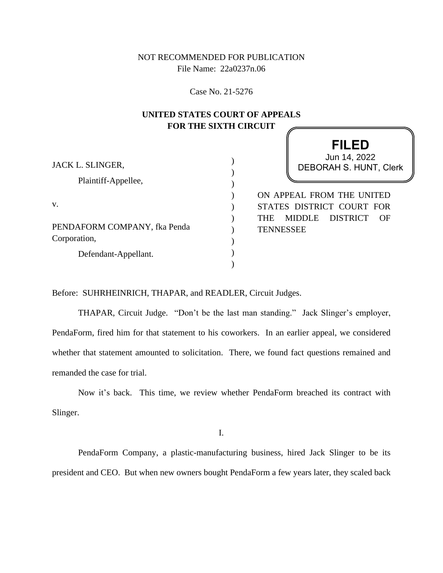NOT RECOMMENDED FOR PUBLICATION File Name: 22a0237n.06

Case No. 21-5276

# **UNITED STATES COURT OF APPEALS FOR THE SIXTH CIRCUIT**

|                                              | <b>FILED</b>                                                      |
|----------------------------------------------|-------------------------------------------------------------------|
| JACK L. SLINGER,                             | Jun 14, 2022<br><b>DEBORAH S. HUNT, Clerk</b>                     |
| Plaintiff-Appellee,                          |                                                                   |
| V.                                           | ON APPEAL FROM THE UNITED<br>STATES DISTRICT COURT FOR            |
| PENDAFORM COMPANY, fka Penda<br>Corporation, | <b>MIDDLE</b><br>DISTRICT<br><b>THE</b><br>OF<br><b>TENNESSEE</b> |
| Defendant-Appellant.                         |                                                                   |
|                                              |                                                                   |

Before: SUHRHEINRICH, THAPAR, and READLER, Circuit Judges.

THAPAR, Circuit Judge. "Don't be the last man standing." Jack Slinger's employer, PendaForm, fired him for that statement to his coworkers. In an earlier appeal, we considered whether that statement amounted to solicitation. There, we found fact questions remained and remanded the case for trial.

Now it's back. This time, we review whether PendaForm breached its contract with Slinger.

I.

PendaForm Company, a plastic-manufacturing business, hired Jack Slinger to be its president and CEO. But when new owners bought PendaForm a few years later, they scaled back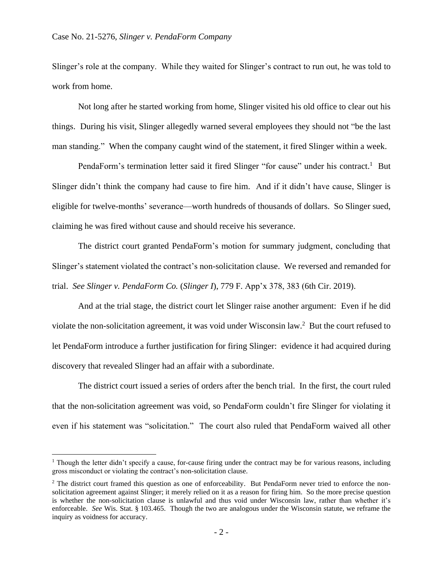Slinger's role at the company. While they waited for Slinger's contract to run out, he was told to work from home.

Not long after he started working from home, Slinger visited his old office to clear out his things. During his visit, Slinger allegedly warned several employees they should not "be the last man standing." When the company caught wind of the statement, it fired Slinger within a week.

PendaForm's termination letter said it fired Slinger "for cause" under his contract.<sup>1</sup> But Slinger didn't think the company had cause to fire him. And if it didn't have cause, Slinger is eligible for twelve-months' severance—worth hundreds of thousands of dollars. So Slinger sued, claiming he was fired without cause and should receive his severance.

The district court granted PendaForm's motion for summary judgment, concluding that Slinger's statement violated the contract's non-solicitation clause. We reversed and remanded for trial. *See Slinger v. PendaForm Co.* (*Slinger I*), 779 F. App'x 378, 383 (6th Cir. 2019).

And at the trial stage, the district court let Slinger raise another argument: Even if he did violate the non-solicitation agreement, it was void under Wisconsin law.<sup>2</sup> But the court refused to let PendaForm introduce a further justification for firing Slinger: evidence it had acquired during discovery that revealed Slinger had an affair with a subordinate.

The district court issued a series of orders after the bench trial. In the first, the court ruled that the non-solicitation agreement was void, so PendaForm couldn't fire Slinger for violating it even if his statement was "solicitation." The court also ruled that PendaForm waived all other

 $1$  Though the letter didn't specify a cause, for-cause firing under the contract may be for various reasons, including gross misconduct or violating the contract's non-solicitation clause.

<sup>&</sup>lt;sup>2</sup> The district court framed this question as one of enforceability. But PendaForm never tried to enforce the nonsolicitation agreement against Slinger; it merely relied on it as a reason for firing him. So the more precise question is whether the non-solicitation clause is unlawful and thus void under Wisconsin law, rather than whether it's enforceable. *See* Wis. Stat. § 103.465. Though the two are analogous under the Wisconsin statute, we reframe the inquiry as voidness for accuracy.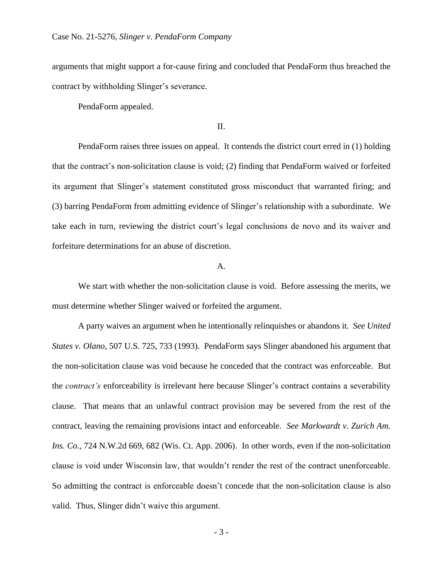arguments that might support a for-cause firing and concluded that PendaForm thus breached the contract by withholding Slinger's severance.

PendaForm appealed.

## II.

PendaForm raises three issues on appeal. It contends the district court erred in (1) holding that the contract's non-solicitation clause is void; (2) finding that PendaForm waived or forfeited its argument that Slinger's statement constituted gross misconduct that warranted firing; and (3) barring PendaForm from admitting evidence of Slinger's relationship with a subordinate. We take each in turn, reviewing the district court's legal conclusions de novo and its waiver and forfeiture determinations for an abuse of discretion.

# A.

We start with whether the non-solicitation clause is void. Before assessing the merits, we must determine whether Slinger waived or forfeited the argument.

A party waives an argument when he intentionally relinquishes or abandons it. *See United States v. Olano*, 507 U.S. 725, 733 (1993). PendaForm says Slinger abandoned his argument that the non-solicitation clause was void because he conceded that the contract was enforceable. But the *contract's* enforceability is irrelevant here because Slinger's contract contains a severability clause. That means that an unlawful contract provision may be severed from the rest of the contract, leaving the remaining provisions intact and enforceable. *See Markwardt v. Zurich Am. Ins. Co.*, 724 N.W.2d 669, 682 (Wis. Ct. App. 2006). In other words, even if the non-solicitation clause is void under Wisconsin law, that wouldn't render the rest of the contract unenforceable. So admitting the contract is enforceable doesn't concede that the non-solicitation clause is also valid. Thus, Slinger didn't waive this argument.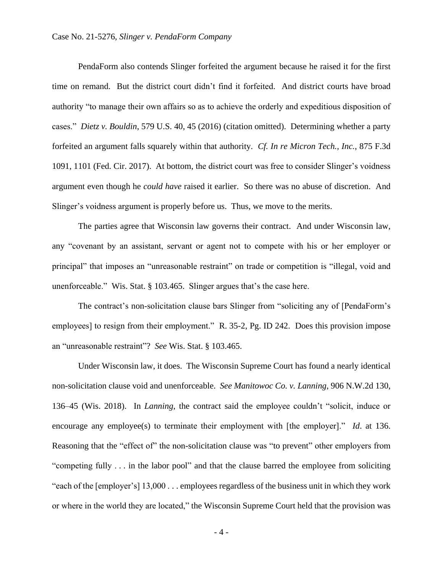PendaForm also contends Slinger forfeited the argument because he raised it for the first time on remand. But the district court didn't find it forfeited. And district courts have broad authority "to manage their own affairs so as to achieve the orderly and expeditious disposition of cases." *Dietz v. Bouldin*, 579 U.S. 40, 45 (2016) (citation omitted). Determining whether a party forfeited an argument falls squarely within that authority. *Cf. In re Micron Tech., Inc.*, 875 F.3d 1091, 1101 (Fed. Cir. 2017). At bottom, the district court was free to consider Slinger's voidness argument even though he *could have* raised it earlier. So there was no abuse of discretion. And Slinger's voidness argument is properly before us. Thus, we move to the merits.

The parties agree that Wisconsin law governs their contract. And under Wisconsin law, any "covenant by an assistant, servant or agent not to compete with his or her employer or principal" that imposes an "unreasonable restraint" on trade or competition is "illegal, void and unenforceable." Wis. Stat. § 103.465. Slinger argues that's the case here.

The contract's non-solicitation clause bars Slinger from "soliciting any of [PendaForm's employees] to resign from their employment." R. 35-2, Pg. ID 242. Does this provision impose an "unreasonable restraint"? *See* Wis. Stat. § 103.465.

Under Wisconsin law, it does. The Wisconsin Supreme Court has found a nearly identical non-solicitation clause void and unenforceable. *See Manitowoc Co. v. Lanning*, 906 N.W.2d 130, 136–45 (Wis. 2018).In *Lanning*, the contract said the employee couldn't "solicit, induce or encourage any employee(s) to terminate their employment with [the employer]." *Id*. at 136. Reasoning that the "effect of" the non-solicitation clause was "to prevent" other employers from "competing fully . . . in the labor pool" and that the clause barred the employee from soliciting "each of the [employer's] 13,000 . . . employees regardless of the business unit in which they work or where in the world they are located," the Wisconsin Supreme Court held that the provision was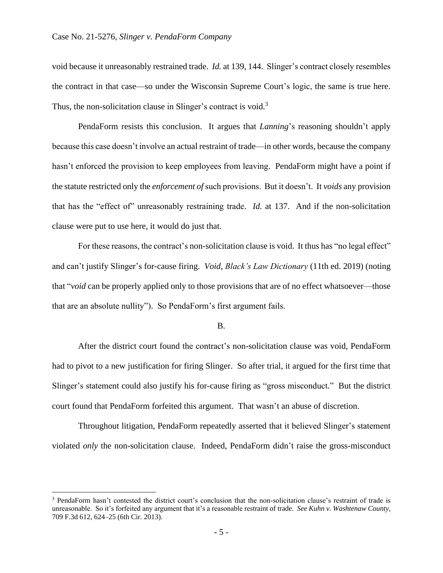void because it unreasonably restrained trade. *Id.* at 139, 144. Slinger's contract closely resembles the contract in that case—so under the Wisconsin Supreme Court's logic, the same is true here. Thus, the non-solicitation clause in Slinger's contract is void.<sup>3</sup>

PendaForm resists this conclusion. It argues that *Lanning*'s reasoning shouldn't apply because this case doesn't involve an actual restraint of trade—in other words, because the company hasn't enforced the provision to keep employees from leaving. PendaForm might have a point if the statute restricted only the *enforcement of* such provisions. But it doesn't. It *voids* any provision that has the "effect of" unreasonably restraining trade. *Id.* at 137. And if the non-solicitation clause were put to use here, it would do just that.

For these reasons, the contract's non-solicitation clause is void. It thus has "no legal effect" and can't justify Slinger's for-cause firing. *Void*, *Black's Law Dictionary* (11th ed. 2019) (noting that "*void* can be properly applied only to those provisions that are of no effect whatsoever—those that are an absolute nullity"). So PendaForm's first argument fails.

#### B.

After the district court found the contract's non-solicitation clause was void, PendaForm had to pivot to a new justification for firing Slinger. So after trial, it argued for the first time that Slinger's statement could also justify his for-cause firing as "gross misconduct." But the district court found that PendaForm forfeited this argument. That wasn't an abuse of discretion.

Throughout litigation, PendaForm repeatedly asserted that it believed Slinger's statement violated *only* the non-solicitation clause. Indeed, PendaForm didn't raise the gross-misconduct

<sup>3</sup> PendaForm hasn't contested the district court's conclusion that the non-solicitation clause's restraint of trade is unreasonable. So it's forfeited any argument that it's a reasonable restraint of trade. *See Kuhn v. Washtenaw County*, 709 F.3d 612, 624–25 (6th Cir. 2013).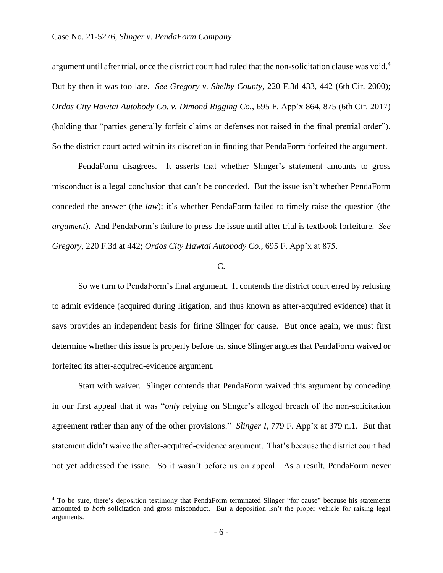argument until after trial, once the district court had ruled that the non-solicitation clause was void.<sup>4</sup> But by then it was too late. *See Gregory v. Shelby County*, 220 F.3d 433, 442 (6th Cir. 2000); *Ordos City Hawtai Autobody Co. v. Dimond Rigging Co.*, 695 F. App'x 864, 875 (6th Cir. 2017) (holding that "parties generally forfeit claims or defenses not raised in the final pretrial order"). So the district court acted within its discretion in finding that PendaForm forfeited the argument.

PendaForm disagrees. It asserts that whether Slinger's statement amounts to gross misconduct is a legal conclusion that can't be conceded. But the issue isn't whether PendaForm conceded the answer (the *law*); it's whether PendaForm failed to timely raise the question (the *argument*). And PendaForm's failure to press the issue until after trial is textbook forfeiture. *See Gregory*, 220 F.3d at 442; *Ordos City Hawtai Autobody Co.*, 695 F. App'x at 875.

### C.

So we turn to PendaForm's final argument. It contends the district court erred by refusing to admit evidence (acquired during litigation, and thus known as after-acquired evidence) that it says provides an independent basis for firing Slinger for cause. But once again, we must first determine whether this issue is properly before us, since Slinger argues that PendaForm waived or forfeited its after-acquired-evidence argument.

Start with waiver. Slinger contends that PendaForm waived this argument by conceding in our first appeal that it was "*only* relying on Slinger's alleged breach of the non-solicitation agreement rather than any of the other provisions." *Slinger I*, 779 F. App'x at 379 n.1. But that statement didn't waive the after-acquired-evidence argument. That's because the district court had not yet addressed the issue. So it wasn't before us on appeal. As a result, PendaForm never

<sup>4</sup> To be sure, there's deposition testimony that PendaForm terminated Slinger "for cause" because his statements amounted to *both* solicitation and gross misconduct. But a deposition isn't the proper vehicle for raising legal arguments.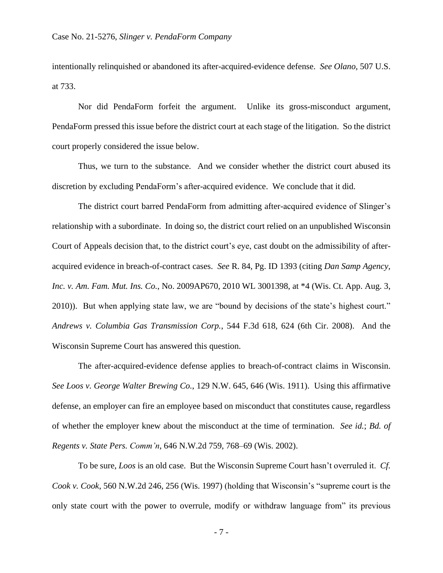intentionally relinquished or abandoned its after-acquired-evidence defense. *See Olano*, 507 U.S. at 733.

Nor did PendaForm forfeit the argument. Unlike its gross-misconduct argument, PendaForm pressed this issue before the district court at each stage of the litigation. So the district court properly considered the issue below.

Thus, we turn to the substance. And we consider whether the district court abused its discretion by excluding PendaForm's after-acquired evidence. We conclude that it did.

The district court barred PendaForm from admitting after-acquired evidence of Slinger's relationship with a subordinate. In doing so, the district court relied on an unpublished Wisconsin Court of Appeals decision that, to the district court's eye, cast doubt on the admissibility of afteracquired evidence in breach-of-contract cases. *See* R. 84, Pg. ID 1393 (citing *Dan Samp Agency, Inc. v. Am. Fam. Mut. Ins. Co.*, No. 2009AP670, 2010 WL 3001398, at \*4 (Wis. Ct. App. Aug. 3, 2010)). But when applying state law, we are "bound by decisions of the state's highest court." *Andrews v. Columbia Gas Transmission Corp.*, 544 F.3d 618, 624 (6th Cir. 2008). And the Wisconsin Supreme Court has answered this question.

The after-acquired-evidence defense applies to breach-of-contract claims in Wisconsin. *See Loos v. George Walter Brewing Co.*, 129 N.W. 645, 646 (Wis. 1911). Using this affirmative defense, an employer can fire an employee based on misconduct that constitutes cause, regardless of whether the employer knew about the misconduct at the time of termination. *See id.*; *Bd. of Regents v. State Pers. Comm'n*, 646 N.W.2d 759, 768–69 (Wis. 2002).

To be sure, *Loos* is an old case. But the Wisconsin Supreme Court hasn't overruled it. *Cf. Cook v. Cook*, 560 N.W.2d 246, 256 (Wis. 1997) (holding that Wisconsin's "supreme court is the only state court with the power to overrule, modify or withdraw language from" its previous